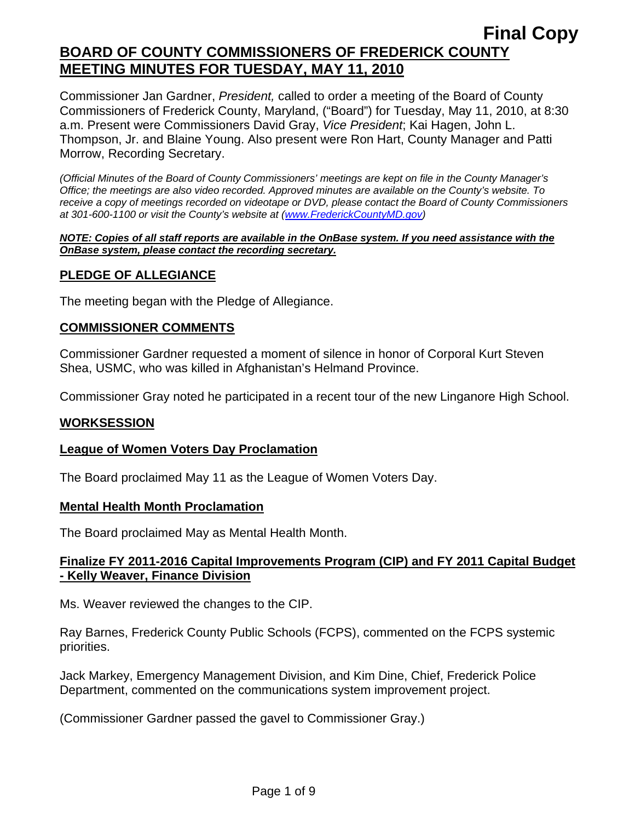Commissioner Jan Gardner, *President,* called to order a meeting of the Board of County Commissioners of Frederick County, Maryland, ("Board") for Tuesday, May 11, 2010, at 8:30 a.m. Present were Commissioners David Gray, *Vice President*; Kai Hagen, John L. Thompson, Jr. and Blaine Young. Also present were Ron Hart, County Manager and Patti Morrow, Recording Secretary.

*(Official Minutes of the Board of County Commissioners' meetings are kept on file in the County Manager's Office; the meetings are also video recorded. Approved minutes are available on the County's website. To receive a copy of meetings recorded on videotape or DVD, please contact the Board of County Commissioners at 301-600-1100 or visit the County's website at ([www.FrederickCountyMD.gov](http://www.frederickcountymd.gov/))* 

#### *NOTE: Copies of all staff reports are available in the OnBase system. If you need assistance with the OnBase system, please contact the recording secretary.*

## **PLEDGE OF ALLEGIANCE**

The meeting began with the Pledge of Allegiance.

## **COMMISSIONER COMMENTS**

Commissioner Gardner requested a moment of silence in honor of Corporal Kurt Steven Shea, USMC, who was killed in Afghanistan's Helmand Province.

Commissioner Gray noted he participated in a recent tour of the new Linganore High School.

### **WORKSESSION**

### **League of Women Voters Day Proclamation**

The Board proclaimed May 11 as the League of Women Voters Day.

### **Mental Health Month Proclamation**

The Board proclaimed May as Mental Health Month.

## **Finalize FY 2011-2016 Capital Improvements Program (CIP) and FY 2011 Capital Budget - Kelly Weaver, Finance Division**

Ms. Weaver reviewed the changes to the CIP.

Ray Barnes, Frederick County Public Schools (FCPS), commented on the FCPS systemic priorities.

Jack Markey, Emergency Management Division, and Kim Dine, Chief, Frederick Police Department, commented on the communications system improvement project.

(Commissioner Gardner passed the gavel to Commissioner Gray.)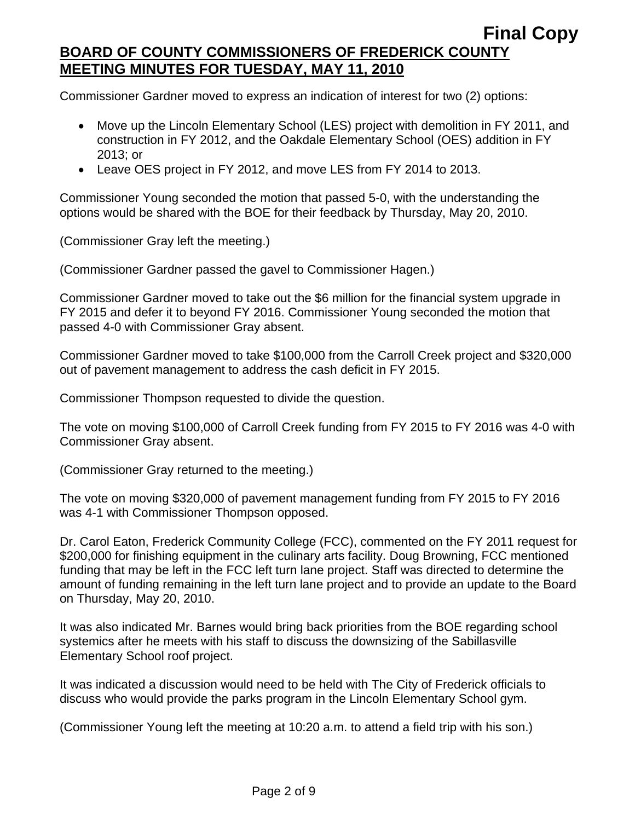Commissioner Gardner moved to express an indication of interest for two (2) options:

- Move up the Lincoln Elementary School (LES) project with demolition in FY 2011, and construction in FY 2012, and the Oakdale Elementary School (OES) addition in FY 2013; or
- Leave OES project in FY 2012, and move LES from FY 2014 to 2013.

Commissioner Young seconded the motion that passed 5-0, with the understanding the options would be shared with the BOE for their feedback by Thursday, May 20, 2010.

(Commissioner Gray left the meeting.)

(Commissioner Gardner passed the gavel to Commissioner Hagen.)

Commissioner Gardner moved to take out the \$6 million for the financial system upgrade in FY 2015 and defer it to beyond FY 2016. Commissioner Young seconded the motion that passed 4-0 with Commissioner Gray absent.

Commissioner Gardner moved to take \$100,000 from the Carroll Creek project and \$320,000 out of pavement management to address the cash deficit in FY 2015.

Commissioner Thompson requested to divide the question.

The vote on moving \$100,000 of Carroll Creek funding from FY 2015 to FY 2016 was 4-0 with Commissioner Gray absent.

(Commissioner Gray returned to the meeting.)

The vote on moving \$320,000 of pavement management funding from FY 2015 to FY 2016 was 4-1 with Commissioner Thompson opposed.

Dr. Carol Eaton, Frederick Community College (FCC), commented on the FY 2011 request for \$200,000 for finishing equipment in the culinary arts facility. Doug Browning, FCC mentioned funding that may be left in the FCC left turn lane project. Staff was directed to determine the amount of funding remaining in the left turn lane project and to provide an update to the Board on Thursday, May 20, 2010.

It was also indicated Mr. Barnes would bring back priorities from the BOE regarding school systemics after he meets with his staff to discuss the downsizing of the Sabillasville Elementary School roof project.

It was indicated a discussion would need to be held with The City of Frederick officials to discuss who would provide the parks program in the Lincoln Elementary School gym.

(Commissioner Young left the meeting at 10:20 a.m. to attend a field trip with his son.)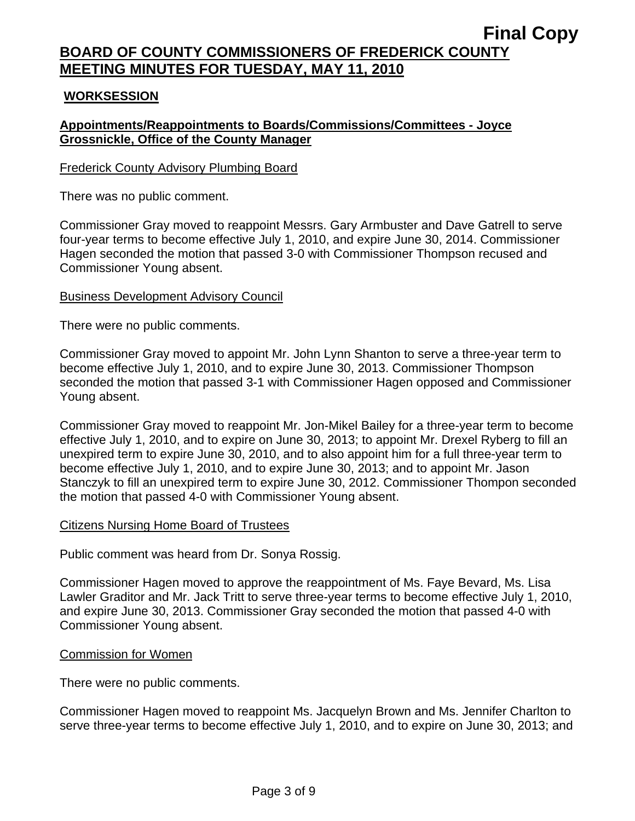## **WORKSESSION**

## **Appointments/Reappointments to Boards/Commissions/Committees - Joyce Grossnickle, Office of the County Manager**

### Frederick County Advisory Plumbing Board

There was no public comment.

Commissioner Gray moved to reappoint Messrs. Gary Armbuster and Dave Gatrell to serve four-year terms to become effective July 1, 2010, and expire June 30, 2014. Commissioner Hagen seconded the motion that passed 3-0 with Commissioner Thompson recused and Commissioner Young absent.

### Business Development Advisory Council

There were no public comments.

Commissioner Gray moved to appoint Mr. John Lynn Shanton to serve a three-year term to become effective July 1, 2010, and to expire June 30, 2013. Commissioner Thompson seconded the motion that passed 3-1 with Commissioner Hagen opposed and Commissioner Young absent.

Commissioner Gray moved to reappoint Mr. Jon-Mikel Bailey for a three-year term to become effective July 1, 2010, and to expire on June 30, 2013; to appoint Mr. Drexel Ryberg to fill an unexpired term to expire June 30, 2010, and to also appoint him for a full three-year term to become effective July 1, 2010, and to expire June 30, 2013; and to appoint Mr. Jason Stanczyk to fill an unexpired term to expire June 30, 2012. Commissioner Thompon seconded the motion that passed 4-0 with Commissioner Young absent.

### Citizens Nursing Home Board of Trustees

Public comment was heard from Dr. Sonya Rossig.

Commissioner Hagen moved to approve the reappointment of Ms. Faye Bevard, Ms. Lisa Lawler Graditor and Mr. Jack Tritt to serve three-year terms to become effective July 1, 2010, and expire June 30, 2013. Commissioner Gray seconded the motion that passed 4-0 with Commissioner Young absent.

### Commission for Women

There were no public comments.

Commissioner Hagen moved to reappoint Ms. Jacquelyn Brown and Ms. Jennifer Charlton to serve three-year terms to become effective July 1, 2010, and to expire on June 30, 2013; and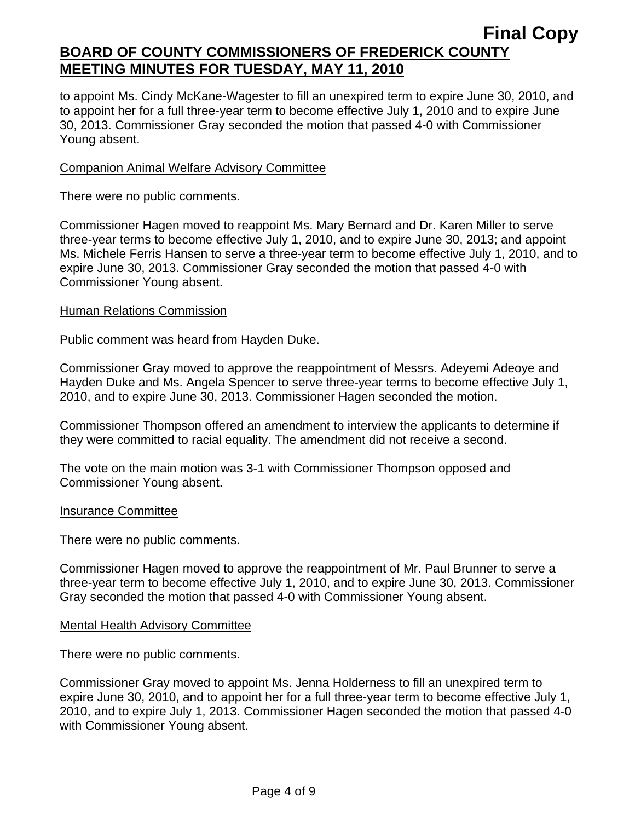to appoint Ms. Cindy McKane-Wagester to fill an unexpired term to expire June 30, 2010, and to appoint her for a full three-year term to become effective July 1, 2010 and to expire June 30, 2013. Commissioner Gray seconded the motion that passed 4-0 with Commissioner Young absent.

## Companion Animal Welfare Advisory Committee

There were no public comments.

Commissioner Hagen moved to reappoint Ms. Mary Bernard and Dr. Karen Miller to serve three-year terms to become effective July 1, 2010, and to expire June 30, 2013; and appoint Ms. Michele Ferris Hansen to serve a three-year term to become effective July 1, 2010, and to expire June 30, 2013. Commissioner Gray seconded the motion that passed 4-0 with Commissioner Young absent.

## Human Relations Commission

Public comment was heard from Hayden Duke.

Commissioner Gray moved to approve the reappointment of Messrs. Adeyemi Adeoye and Hayden Duke and Ms. Angela Spencer to serve three-year terms to become effective July 1, 2010, and to expire June 30, 2013. Commissioner Hagen seconded the motion.

Commissioner Thompson offered an amendment to interview the applicants to determine if they were committed to racial equality. The amendment did not receive a second.

The vote on the main motion was 3-1 with Commissioner Thompson opposed and Commissioner Young absent.

### Insurance Committee

There were no public comments.

Commissioner Hagen moved to approve the reappointment of Mr. Paul Brunner to serve a three-year term to become effective July 1, 2010, and to expire June 30, 2013. Commissioner Gray seconded the motion that passed 4-0 with Commissioner Young absent.

### Mental Health Advisory Committee

There were no public comments.

Commissioner Gray moved to appoint Ms. Jenna Holderness to fill an unexpired term to expire June 30, 2010, and to appoint her for a full three-year term to become effective July 1, 2010, and to expire July 1, 2013. Commissioner Hagen seconded the motion that passed 4-0 with Commissioner Young absent.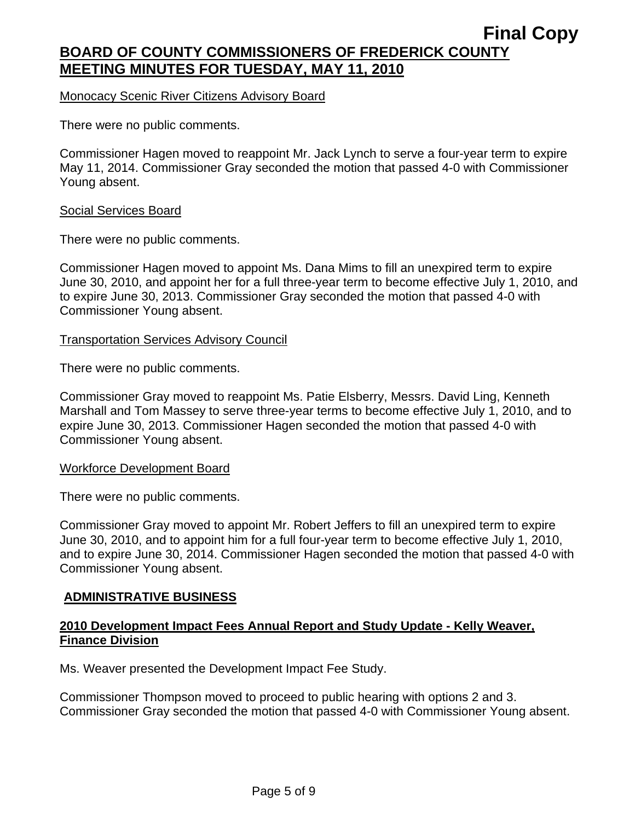### Monocacy Scenic River Citizens Advisory Board

There were no public comments.

Commissioner Hagen moved to reappoint Mr. Jack Lynch to serve a four-year term to expire May 11, 2014. Commissioner Gray seconded the motion that passed 4-0 with Commissioner Young absent.

#### Social Services Board

There were no public comments.

Commissioner Hagen moved to appoint Ms. Dana Mims to fill an unexpired term to expire June 30, 2010, and appoint her for a full three-year term to become effective July 1, 2010, and to expire June 30, 2013. Commissioner Gray seconded the motion that passed 4-0 with Commissioner Young absent.

### Transportation Services Advisory Council

There were no public comments.

Commissioner Gray moved to reappoint Ms. Patie Elsberry, Messrs. David Ling, Kenneth Marshall and Tom Massey to serve three-year terms to become effective July 1, 2010, and to expire June 30, 2013. Commissioner Hagen seconded the motion that passed 4-0 with Commissioner Young absent.

### Workforce Development Board

There were no public comments.

Commissioner Gray moved to appoint Mr. Robert Jeffers to fill an unexpired term to expire June 30, 2010, and to appoint him for a full four-year term to become effective July 1, 2010, and to expire June 30, 2014. Commissioner Hagen seconded the motion that passed 4-0 with Commissioner Young absent.

### **ADMINISTRATIVE BUSINESS**

## **2010 Development Impact Fees Annual Report and Study Update - Kelly Weaver, Finance Division**

Ms. Weaver presented the Development Impact Fee Study.

Commissioner Thompson moved to proceed to public hearing with options 2 and 3. Commissioner Gray seconded the motion that passed 4-0 with Commissioner Young absent.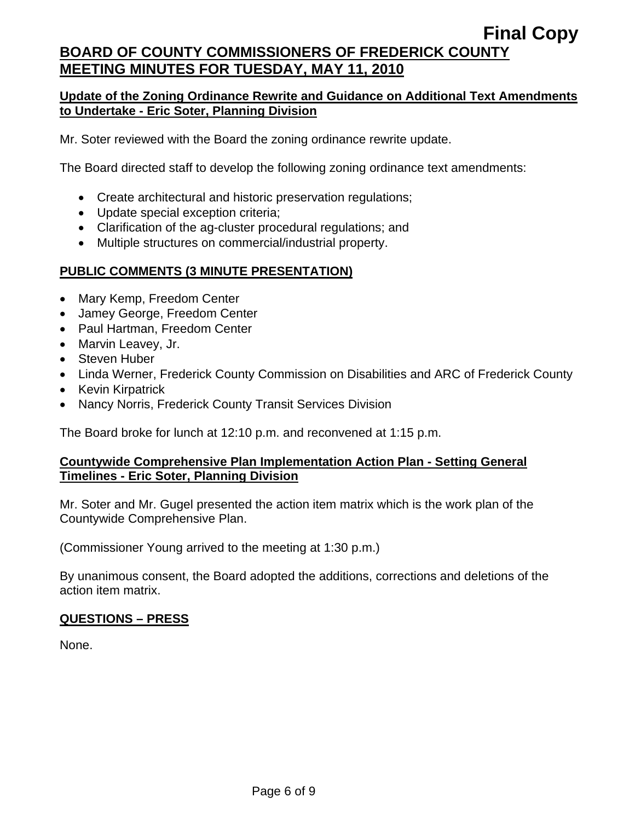## **Update of the Zoning Ordinance Rewrite and Guidance on Additional Text Amendments to Undertake - Eric Soter, Planning Division**

Mr. Soter reviewed with the Board the zoning ordinance rewrite update.

The Board directed staff to develop the following zoning ordinance text amendments:

- Create architectural and historic preservation regulations;
- Update special exception criteria;
- Clarification of the ag-cluster procedural regulations; and
- Multiple structures on commercial/industrial property.

# **PUBLIC COMMENTS (3 MINUTE PRESENTATION)**

- Mary Kemp, Freedom Center
- Jamey George, Freedom Center
- Paul Hartman, Freedom Center
- Marvin Leavey, Jr.
- Steven Huber
- Linda Werner, Frederick County Commission on Disabilities and ARC of Frederick County
- Kevin Kirpatrick
- Nancy Norris, Frederick County Transit Services Division

The Board broke for lunch at 12:10 p.m. and reconvened at 1:15 p.m.

## **Countywide Comprehensive Plan Implementation Action Plan - Setting General Timelines - Eric Soter, Planning Division**

Mr. Soter and Mr. Gugel presented the action item matrix which is the work plan of the Countywide Comprehensive Plan.

(Commissioner Young arrived to the meeting at 1:30 p.m.)

By unanimous consent, the Board adopted the additions, corrections and deletions of the action item matrix.

# **QUESTIONS – PRESS**

None.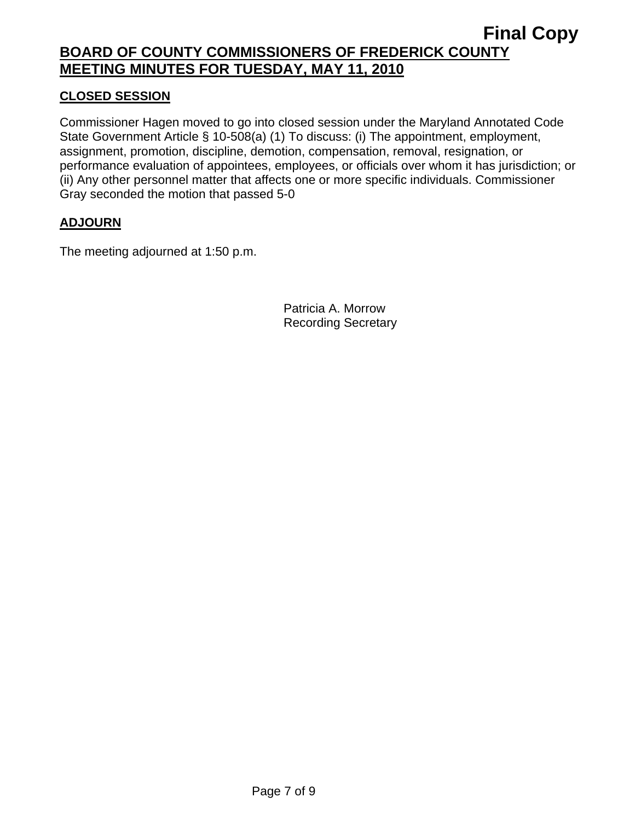## **CLOSED SESSION**

Commissioner Hagen moved to go into closed session under the Maryland Annotated Code State Government Article § 10-508(a) (1) To discuss: (i) The appointment, employment, assignment, promotion, discipline, demotion, compensation, removal, resignation, or performance evaluation of appointees, employees, or officials over whom it has jurisdiction; or (ii) Any other personnel matter that affects one or more specific individuals. Commissioner Gray seconded the motion that passed 5-0

## **ADJOURN**

The meeting adjourned at 1:50 p.m.

Patricia A. Morrow Recording Secretary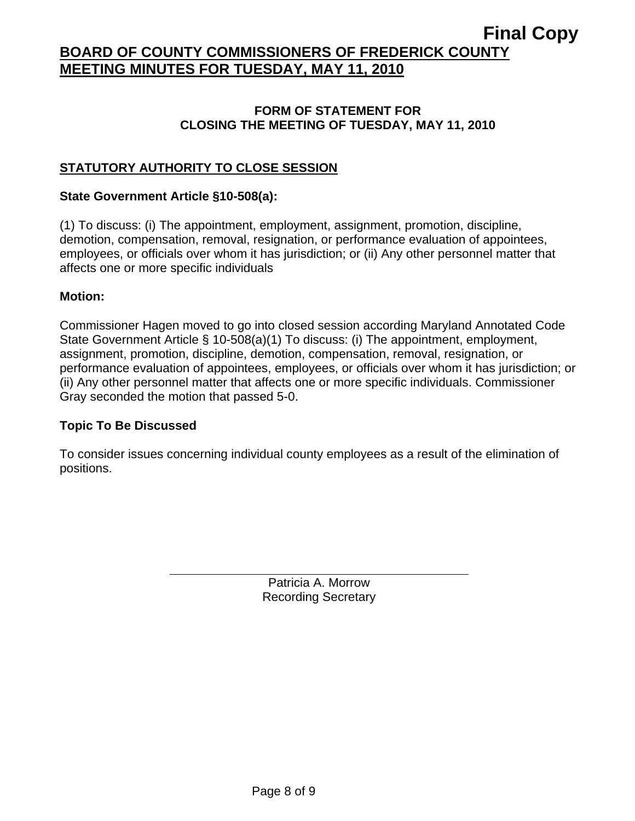## **FORM OF STATEMENT FOR CLOSING THE MEETING OF TUESDAY, MAY 11, 2010**

# **STATUTORY AUTHORITY TO CLOSE SESSION**

## **State Government Article §10-508(a):**

(1) To discuss: (i) The appointment, employment, assignment, promotion, discipline, demotion, compensation, removal, resignation, or performance evaluation of appointees, employees, or officials over whom it has jurisdiction; or (ii) Any other personnel matter that affects one or more specific individuals

## **Motion:**

Commissioner Hagen moved to go into closed session according Maryland Annotated Code State Government Article § 10-508(a)(1) To discuss: (i) The appointment, employment, assignment, promotion, discipline, demotion, compensation, removal, resignation, or performance evaluation of appointees, employees, or officials over whom it has jurisdiction; or (ii) Any other personnel matter that affects one or more specific individuals. Commissioner Gray seconded the motion that passed 5-0.

## **Topic To Be Discussed**

 $\overline{a}$ 

To consider issues concerning individual county employees as a result of the elimination of positions.

> Patricia A. Morrow Recording Secretary